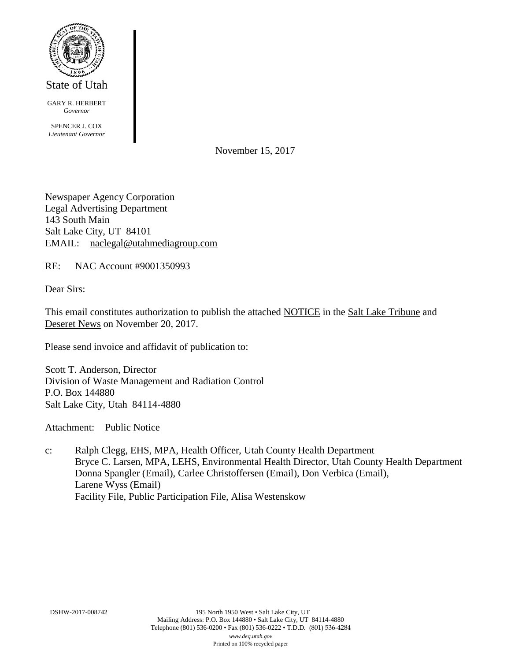

GARY R. HERBERT *Governor*

SPENCER J. COX *Lieutenant Governor*

November 15, 2017

Newspaper Agency Corporation Legal Advertising Department 143 South Main Salt Lake City, UT 84101 EMAIL: naclegal@utahmediagroup.com

RE: NAC Account #9001350993

Dear Sirs:

This email constitutes authorization to publish the attached NOTICE in the Salt Lake Tribune and Deseret News on November 20, 2017.

Please send invoice and affidavit of publication to:

Scott T. Anderson, Director Division of Waste Management and Radiation Control P.O. Box 144880 Salt Lake City, Utah 84114-4880

Attachment: Public Notice

c: Ralph Clegg, EHS, MPA, Health Officer, Utah County Health Department Bryce C. Larsen, MPA, LEHS, Environmental Health Director, Utah County Health Department Donna Spangler (Email), Carlee Christoffersen (Email), Don Verbica (Email), Larene Wyss (Email) Facility File, Public Participation File, Alisa Westenskow